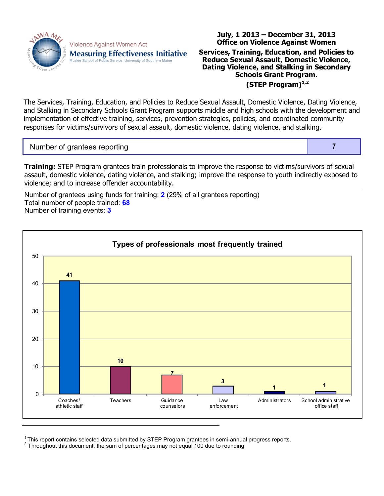

Violence Against Women Act **Measuring Effectiveness Initiative** Muskie School of Public Service, University of Southern Maine

## **Office on Violence Against Women Services, Training, Education, and Policies to Reduce Sexual Assault, Domestic Violence, Dating Violence, and Stalking in Secondary Schools Grant Program. (STEP Program)1,2**

**July, 1 2013 – December 31, 2013**

The Services, Training, Education, and Policies to Reduce Sexual Assault, Domestic Violence, Dating Violence, and Stalking in Secondary Schools Grant Program supports middle and high schools with the development and implementation of effective training, services, prevention strategies, policies, and coordinated community responses for victims/survivors of sexual assault, domestic violence, dating violence, and stalking.

Number of grantees reporting **7** and 7

**Training:** STEP Program grantees train professionals to improve the response to victims/survivors of sexual assault, domestic violence, dating violence, and stalking; improve the response to youth indirectly exposed to violence; and to increase offender accountability.

Number of grantees using funds for training: **2** (29% of all grantees reporting) Total number of people trained: **68** Number of training events: **3**



<sup>&</sup>lt;sup>1</sup>This report contains selected data submitted by STEP Program grantees in semi-annual progress reports.

 $2$  Throughout this document, the sum of percentages may not equal 100 due to rounding.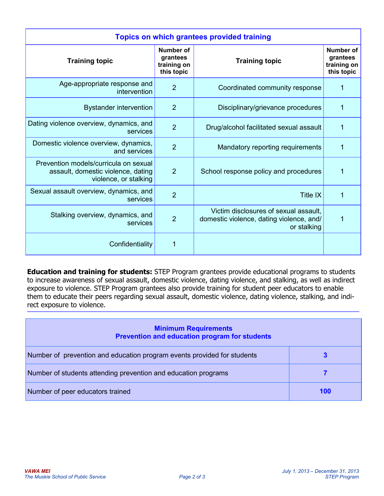| <b>Topics on which grantees provided training</b>                                                    |                                                    |                                                                                                  |                                                           |  |  |  |
|------------------------------------------------------------------------------------------------------|----------------------------------------------------|--------------------------------------------------------------------------------------------------|-----------------------------------------------------------|--|--|--|
| <b>Training topic</b>                                                                                | Number of<br>grantees<br>training on<br>this topic | <b>Training topic</b>                                                                            | <b>Number of</b><br>grantees<br>training on<br>this topic |  |  |  |
| Age-appropriate response and<br>intervention                                                         | $\overline{2}$                                     | Coordinated community response                                                                   | 1                                                         |  |  |  |
| <b>Bystander intervention</b>                                                                        | $\overline{2}$                                     | Disciplinary/grievance procedures                                                                | 1                                                         |  |  |  |
| Dating violence overview, dynamics, and<br>services                                                  | $\overline{2}$                                     | Drug/alcohol facilitated sexual assault                                                          | $\mathbf{1}$                                              |  |  |  |
| Domestic violence overview, dynamics,<br>and services                                                | $\overline{2}$                                     | Mandatory reporting requirements                                                                 | 1                                                         |  |  |  |
| Prevention models/curricula on sexual<br>assault, domestic violence, dating<br>violence, or stalking | $\overline{2}$                                     | School response policy and procedures                                                            | $\overline{1}$                                            |  |  |  |
| Sexual assault overview, dynamics, and<br>services                                                   | $\overline{2}$                                     | <b>Title IX</b>                                                                                  | 1                                                         |  |  |  |
| Stalking overview, dynamics, and<br>services                                                         | $\overline{2}$                                     | Victim disclosures of sexual assault,<br>domestic violence, dating violence, and/<br>or stalking | 1                                                         |  |  |  |
| Confidentiality                                                                                      | 1                                                  |                                                                                                  |                                                           |  |  |  |

**Education and training for students:** STEP Program grantees provide educational programs to students to increase awareness of sexual assault, domestic violence, dating violence, and stalking, as well as indirect exposure to violence. STEP Program grantees also provide training for student peer educators to enable them to educate their peers regarding sexual assault, domestic violence, dating violence, stalking, and indirect exposure to violence.

| <b>Minimum Requirements</b><br>Prevention and education program for students |     |  |  |  |
|------------------------------------------------------------------------------|-----|--|--|--|
| Number of prevention and education program events provided for students      | 3   |  |  |  |
| Number of students attending prevention and education programs               |     |  |  |  |
| Number of peer educators trained                                             | 100 |  |  |  |